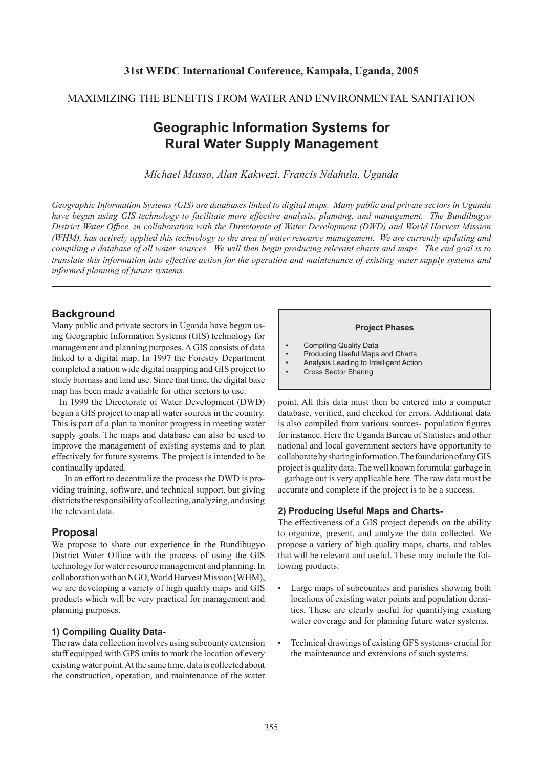### **31st WEDC International Conference, Kampala, Uganda, 2005**

### MAXIMIZING THE BENEFITS FROM WATER AND ENVIRONMENTAL SANITATION

# **Geographic Information Systems for Rural Water Supply Management**

*Michael Masso, Alan Kakwezi, Francis Ndahula, Uganda*

*Geographic Information Systems (GIS) are databases linked to digital maps. Many public and private sectors in Uganda have begun using GIS technology to facilitate more effective analysis, planning, and management. The Bundibugyo District Water Office, in collaboration with the Directorate of Water Development (DWD) and World Harvest Mission (WHM), has actively applied this technology to the area of water resource management. We are currently updating and compiling a database of all water sources. We will then begin producing relevant charts and maps. The end goal is to translate this information into effective action for the operation and maintenance of existing water supply systems and informed planning of future systems.* 

### **Background**

Many public and private sectors in Uganda have begun using Geographic Information Systems (GIS) technology for management and planning purposes. A GIS consists of data linked to a digital map. In 1997 the Forestry Department completed a nation wide digital mapping and GIS project to study biomass and land use. Since that time, the digital base map has been made available for other sectors to use.

In 1999 the Directorate of Water Development (DWD) began a GIS project to map all water sources in the country. This is part of a plan to monitor progress in meeting water supply goals. The maps and database can also be used to improve the management of existing systems and to plan effectively for future systems. The project is intended to be continually updated.

 In an effort to decentralize the process the DWD is providing training, software, and technical support, but giving districts the responsibility of collecting, analyzing, and using the relevant data.

### **Proposal**

We propose to share our experience in the Bundibugyo District Water Office with the process of using the GIS technology for water resource management and planning. In collaboration with an NGO, World Harvest Mission (WHM), we are developing a variety of high quality maps and GIS products which will be very practical for management and planning purposes.

### **1) Compiling Quality Data-**

The raw data collection involves using subcounty extension staff equipped with GPS units to mark the location of every existing water point. At the same time, data is collected about the construction, operation, and maintenance of the water

#### **Project Phases**

- Compiling Quality Data
- Producing Useful Maps and Charts
- Analysis Leading to Intelligent Action
- Cross Sector Sharing

point. All this data must then be entered into a computer database, verified, and checked for errors. Additional data is also compiled from various sources- population figures for instance. Here the Uganda Bureau of Statistics and other national and local government sectors have opportunity to collaborate by sharing information. The foundation of any GIS project is quality data. The well known forumula: garbage in – garbage out is very applicable here. The raw data must be accurate and complete if the project is to be a success.

#### **2) Producing Useful Maps and Charts-**

The effectiveness of a GIS project depends on the ability to organize, present, and analyze the data collected. We propose a variety of high quality maps, charts, and tables that will be relevant and useful. These may include the following products:

- Large maps of subcounties and parishes showing both locations of existing water points and population densities. These are clearly useful for quantifying existing water coverage and for planning future water systems.
- Technical drawings of existing GFS systems- crucial for the maintenance and extensions of such systems.